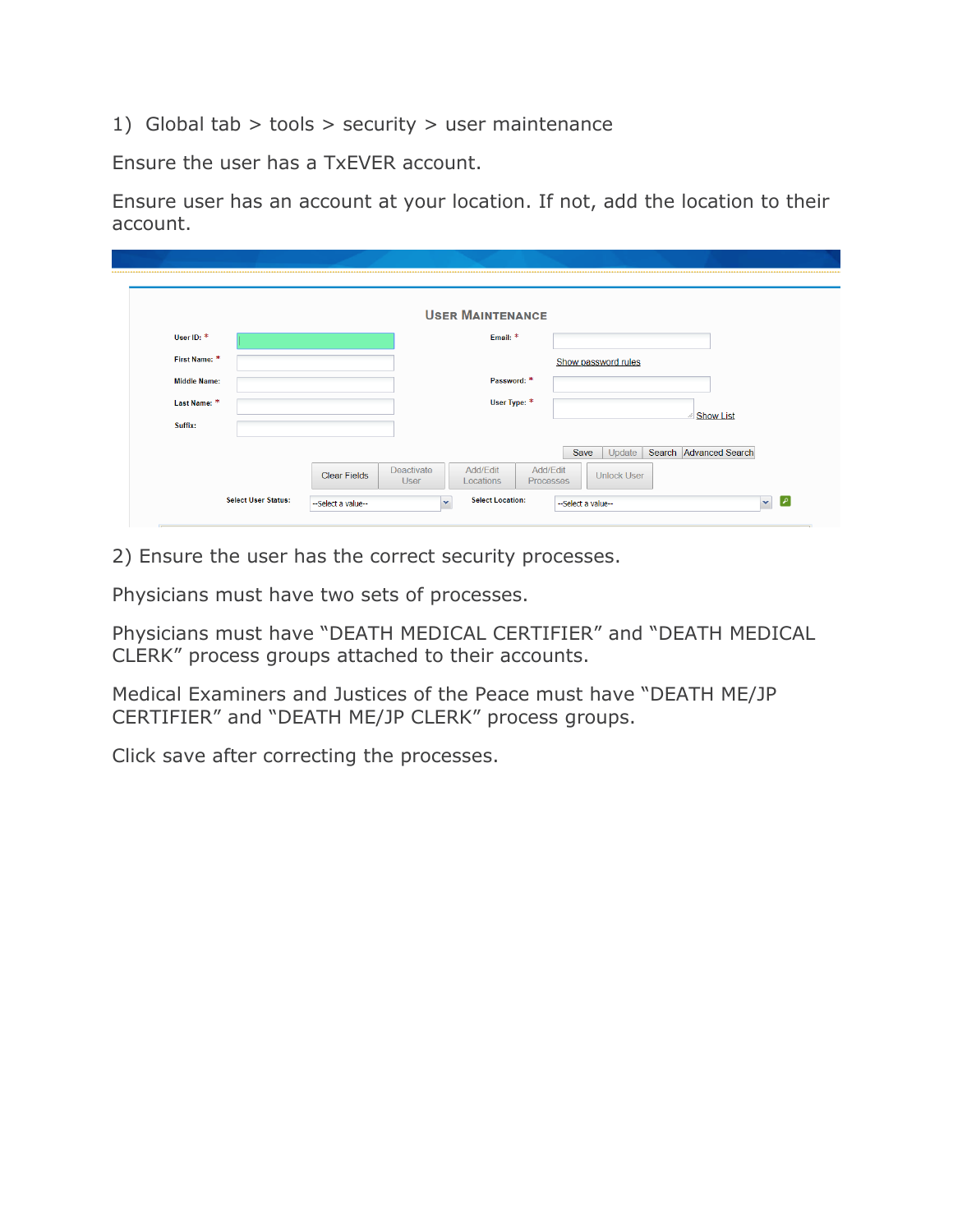1) Global tab  $>$  tools  $>$  security  $>$  user maintenance

Ensure the user has a TxEVER account.

Ensure user has an account at your location. If not, add the location to their account.

| User ID: *<br>Email: *<br>First Name: *<br>Show password rules<br>Password: *<br><b>Middle Name:</b> |  |
|------------------------------------------------------------------------------------------------------|--|
|                                                                                                      |  |
|                                                                                                      |  |
|                                                                                                      |  |
| User Type: *<br>Last Name: *                                                                         |  |
| <b><i>i</i></b> Show List<br>Suffix:                                                                 |  |
| Search Advanced Search<br>Update<br>Save                                                             |  |

2) Ensure the user has the correct security processes.

Physicians must have two sets of processes.

Physicians must have "DEATH MEDICAL CERTIFIER" and "DEATH MEDICAL CLERK" process groups attached to their accounts.

Medical Examiners and Justices of the Peace must have "DEATH ME/JP CERTIFIER" and "DEATH ME/JP CLERK" process groups.

Click save after correcting the processes.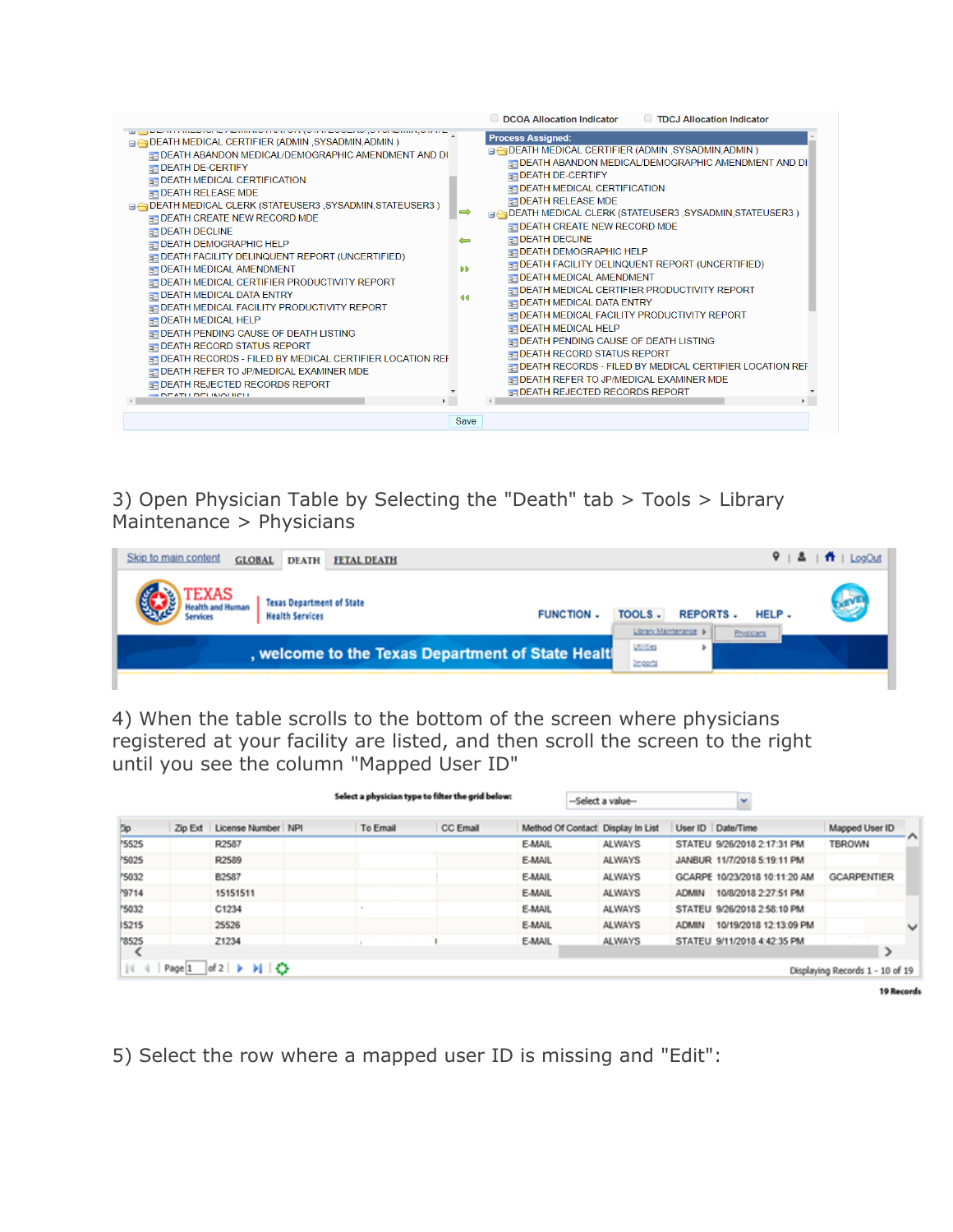|                                                                                                                                                                                                                                                                                                                                                                                                                                                                                                                                                                                                                                                                                                                                                                                                                                                                                                                                                                                                                                            |                                | <b>TDCJ Allocation Indicator</b><br><b>DCOA Allocation Indicator</b>                                                                                                                                                                                                                                                                                                                                                                                                                                                                                                                                                                                                                                                                                                                                                                                                                                                                            |
|--------------------------------------------------------------------------------------------------------------------------------------------------------------------------------------------------------------------------------------------------------------------------------------------------------------------------------------------------------------------------------------------------------------------------------------------------------------------------------------------------------------------------------------------------------------------------------------------------------------------------------------------------------------------------------------------------------------------------------------------------------------------------------------------------------------------------------------------------------------------------------------------------------------------------------------------------------------------------------------------------------------------------------------------|--------------------------------|-------------------------------------------------------------------------------------------------------------------------------------------------------------------------------------------------------------------------------------------------------------------------------------------------------------------------------------------------------------------------------------------------------------------------------------------------------------------------------------------------------------------------------------------------------------------------------------------------------------------------------------------------------------------------------------------------------------------------------------------------------------------------------------------------------------------------------------------------------------------------------------------------------------------------------------------------|
| <u>se provincialmente a communicación disponsibilidades por un communicación </u><br><b>E DEATH MEDICAL CERTIFIER (ADMIN, SYSADMIN, ADMIN)</b><br>E DEATH ABANDON MEDICAL/DEMOGRAPHIC AMENDMENT AND DI<br><b>EDEATH DE-CERTIFY</b><br><b>E-DEATH MEDICAL CERTIFICATION</b><br>$\equiv$ DEATH RELEASE MDE<br><b>BADDEATH MEDICAL CLERK (STATEUSER3, SYSADMIN, STATEUSER3)</b><br>$\Box$ DEATH CREATE NEW RECORD MDE<br>$\equiv$ DEATH DECLINE<br><b>ENDEATH DEMOGRAPHIC HELP</b><br><b>E DEATH FACILITY DELINQUENT REPORT (UNCERTIFIED)</b><br>DEATH MEDICAL AMENDMENT<br><b>E DEATH MEDICAL CERTIFIER PRODUCTIVITY REPORT</b><br><b>EDEATH MEDICAL DATA ENTRY</b><br><b>ENDEATH MEDICAL FACILITY PRODUCTIVITY REPORT</b><br>$\equiv$ DEATH MEDICAL HELP<br><b>EDEATH PENDING CAUSE OF DEATH LISTING</b><br><b>ENDEATH RECORD STATUS REPORT</b><br>DEATH RECORDS - FILED BY MEDICAL CERTIFIER LOCATION REF<br><b>ENDEATH REFER TO JP/MEDICAL EXAMINER MDE</b><br><b>ENDEATH REJECTED RECORDS REPORT</b><br>$\blacksquare$ DEATH DELINIOHICH | $\Rightarrow$<br>÷<br>ÐĐ<br>ৰৰ | <b>Process Assigned:</b><br>□ OEATH MEDICAL CERTIFIER (ADMIN, SYSADMIN, ADMIN)<br>E DEATH ABANDON MEDICAL/DEMOGRAPHIC AMENDMENT AND DI<br><b>ENDEATH DE-CERTIFY</b><br><b>EDEATH MEDICAL CERTIFICATION</b><br><b>E DEATH RELEASE MDE</b><br><b>□ △ DEATH MEDICAL CLERK (STATEUSER3 , SYSADMIN, STATEUSER3 )</b><br><b>E DEATH CREATE NEW RECORD MDE</b><br>$\Box$ DEATH DECLINE<br><b>EDEATH DEMOGRAPHIC HELP</b><br><b>E DEATH FACILITY DELINQUENT REPORT (UNCERTIFIED)</b><br><b>EDEATH MEDICAL AMENDMENT</b><br><b>E-DEATH MEDICAL CERTIFIER PRODUCTIVITY REPORT</b><br><b>EDEATH MEDICAL DATA ENTRY</b><br><b>ENDEATH MEDICAL FACILITY PRODUCTIVITY REPORT</b><br><b>E DEATH MEDICAL HELP</b><br><b>EDEATH PENDING CAUSE OF DEATH LISTING</b><br><b>ENDEATH RECORD STATUS REPORT</b><br>DEATH RECORDS - FILED BY MEDICAL CERTIFIER LOCATION REF<br><b>EDEATH REFER TO JP/MEDICAL EXAMINER MDE</b><br><b>E-DEATH REJECTED RECORDS REPORT</b> |
|                                                                                                                                                                                                                                                                                                                                                                                                                                                                                                                                                                                                                                                                                                                                                                                                                                                                                                                                                                                                                                            | Save                           |                                                                                                                                                                                                                                                                                                                                                                                                                                                                                                                                                                                                                                                                                                                                                                                                                                                                                                                                                 |

3) Open Physician Table by Selecting the "Death" tab > Tools > Library Maintenance > Physicians

| Skip to main content<br><b>GLOBAL</b><br><b>DEATH</b><br><b>FETAL DEATH</b>     |                                                      | $9 + 2 + 11 + 1$ LogOut |
|---------------------------------------------------------------------------------|------------------------------------------------------|-------------------------|
| <b>Texas Department of State</b><br><b>FUNCTION -</b><br><b>Health Services</b> | <b>REPORTS.</b><br>TOOLS.<br>Library Maintenance II- | <b>REVE</b><br>HELP.    |
| , welcome to the Texas Department of State Healt                                | Physicians<br><b>Utilities</b><br>Imports            |                         |

4) When the table scrolls to the bottom of the screen where physicians registered at your facility are listed, and then scroll the screen to the right until you see the column "Mapped User ID"

| <b>Dip</b>   | Zip Ext | License Number NPI | To Email | CC Email | Method Of Contact Display In List |               |              | User ID Date/Time             | Mapped User ID     |
|--------------|---------|--------------------|----------|----------|-----------------------------------|---------------|--------------|-------------------------------|--------------------|
| '5525        |         | R2587              |          |          | E-MAIL                            | <b>ALWAYS</b> |              | STATEU 9/26/2018 2:17:31 PM   | <b>TBROWN</b>      |
| <b>75025</b> |         | R2589              |          |          | E-MAIL                            | <b>ALWAYS</b> |              | JANBUR 11/7/2018 5:19:11 PM   |                    |
| 5032         |         | B2587              |          |          | E-MAIL                            | <b>ALWAYS</b> |              | GCARPE 10/23/2018 10:11:20 AM | <b>GCARPENTIER</b> |
| 79714        |         | 15151511           |          |          | E-MAIL                            | <b>ALWAYS</b> | <b>ADMIN</b> | 10/8/2018 2:27:51 PM          |                    |
| <b>75032</b> |         | C1234              |          |          | E-MAIL                            | <b>ALWAYS</b> |              | STATEU 9/26/2018 2:58:10 PM   |                    |
| 15215        |         | 25526              |          |          | E-MAIL                            | <b>ALWAYS</b> | <b>ADMIN</b> | 10/19/2018 12:13:09 PM        |                    |
| 78525        |         | Z1234              |          |          | E-MAIL                            | <b>ALWAYS</b> |              | STATEU 9/11/2018 4:42:35 PM   | ⋗                  |

5) Select the row where a mapped user ID is missing and "Edit":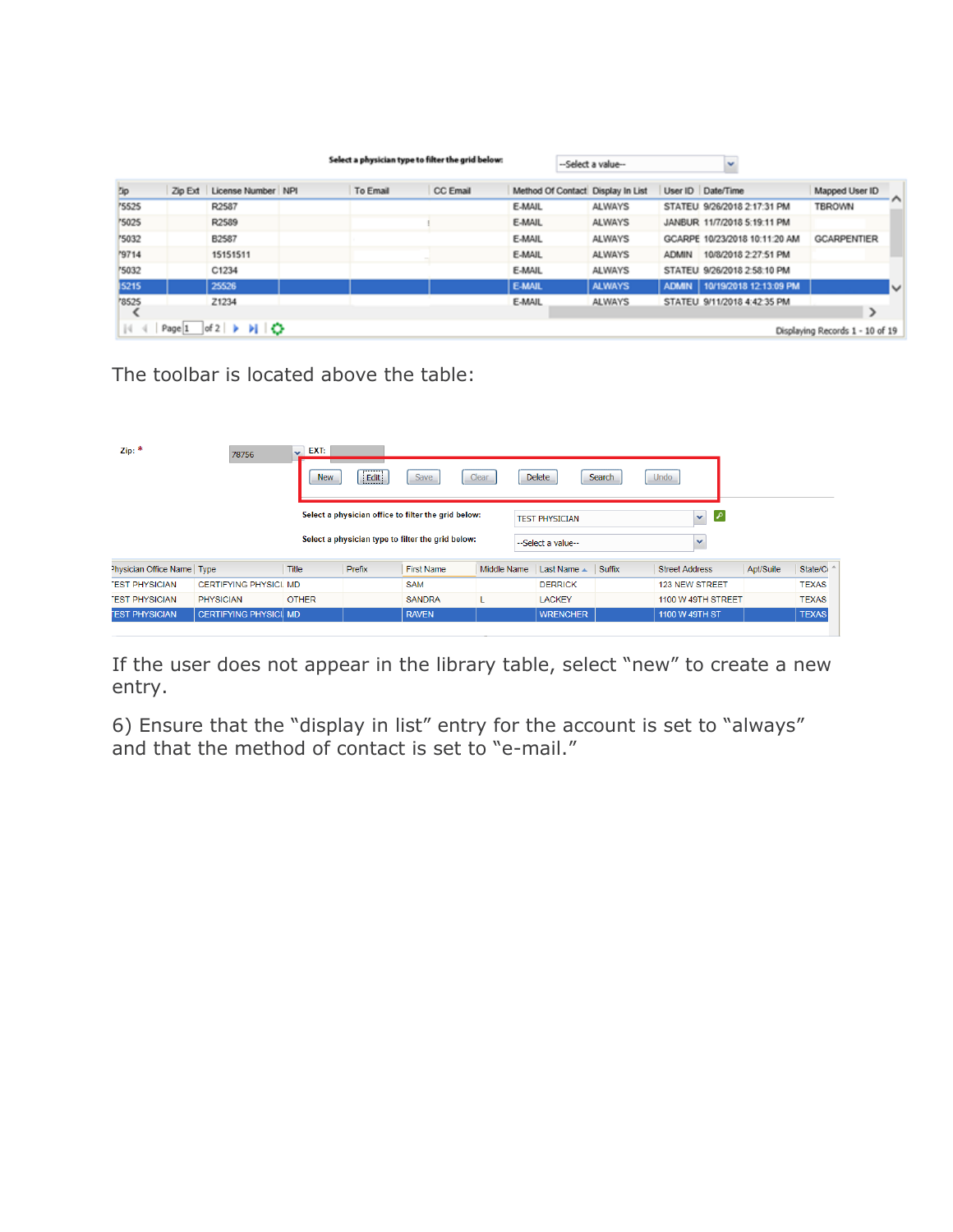|              |         |                                                                             |          | Select a physician type to filter the grid below: |                                   | --Select a value-- |              | v                              |                                 |     |
|--------------|---------|-----------------------------------------------------------------------------|----------|---------------------------------------------------|-----------------------------------|--------------------|--------------|--------------------------------|---------------------------------|-----|
| Zip          | Zip Ext | License Number NPI                                                          | To Email | CC Email                                          | Method Of Contact Display In List |                    |              | User ID Date/Time              | Mapped User ID                  |     |
| '5525        |         | R2587                                                                       |          |                                                   | E-MAIL                            | <b>ALWAYS</b>      |              | STATEU 9/26/2018 2:17:31 PM    | TBROWN                          | - ^ |
| '5025        |         | R2589                                                                       |          |                                                   | E-MAIL                            | <b>ALWAYS</b>      |              | JANBUR 11/7/2018 5:19:11 PM    |                                 |     |
| '5032        |         | B2587                                                                       |          |                                                   | E-MAIL                            | <b>ALWAYS</b>      |              | GCARPE 10/23/2018 10:11:20 AM  | <b>GCARPENTIER</b>              |     |
| <b>M9714</b> |         | 15151511                                                                    |          |                                                   | E-MAIL                            | <b>ALWAYS</b>      | <b>ADMIN</b> | 10/8/2018 2:27:51 PM           |                                 |     |
| '5032        |         | C1234                                                                       |          |                                                   | E-MAIL                            | <b>ALWAYS</b>      |              | STATEU 9/26/2018 2:58:10 PM    |                                 |     |
| 5215         |         | 25526                                                                       |          |                                                   | <b>E-MAIL</b>                     | <b>ALWAYS</b>      |              | ADMIN   10/19/2018 12:13:09 PM |                                 | IV  |
| '8525        |         | Z1234                                                                       |          |                                                   | E-MAIL                            | <b>ALWAYS</b>      |              | STATEU 9/11/2018 4:42:35 PM    | ⋗                               |     |
| 44           |         | Page $1$ of $2 \rightarrow \rightarrow \rightarrow \rightarrow \rightarrow$ |          |                                                   |                                   |                    |              |                                | Displaying Records 1 - 10 of 19 |     |

The toolbar is located above the table:

| Zip:                       | 78756                         | EXT:<br>$\checkmark$<br><b>New</b> | Edit   | Save                                                                                                     | Clear       | <b>Delete</b>                               | Search | Undo                                          |           |              |
|----------------------------|-------------------------------|------------------------------------|--------|----------------------------------------------------------------------------------------------------------|-------------|---------------------------------------------|--------|-----------------------------------------------|-----------|--------------|
|                            |                               |                                    |        | Select a physician office to filter the grid below:<br>Select a physician type to filter the grid below: |             | <b>TEST PHYSICIAN</b><br>--Select a value-- |        | $\mathcal{L}$<br>$\checkmark$<br>$\checkmark$ |           |              |
| Physician Office Name Type |                               | Title                              | Prefix | <b>First Name</b>                                                                                        | Middle Name | Last Name $\triangle$                       | Suffix | <b>Street Address</b>                         | Apt/Suite | State/Co     |
| <b>EST PHYSICIAN</b>       | <b>CERTIFYING PHYSICI, MD</b> |                                    |        | <b>SAM</b>                                                                                               |             | <b>DERRICK</b>                              |        | <b>123 NEW STREET</b>                         |           | <b>TEXAS</b> |
| <b>EST PHYSICIAN</b>       | <b>PHYSICIAN</b>              | <b>OTHER</b>                       |        | <b>SANDRA</b>                                                                                            |             | <b>LACKEY</b>                               |        | 1100 W 49TH STREET                            |           | <b>TEXAS</b> |
| <b>TEST PHYSICIAN</b>      | <b>CERTIFYING PHYSICI MD</b>  |                                    |        | <b>RAVEN</b>                                                                                             |             | <b>WRENCHER</b>                             |        | 1100 W 49TH ST                                |           | <b>TEXAS</b> |

If the user does not appear in the library table, select "new" to create a new entry.

6) Ensure that the "display in list" entry for the account is set to "always" and that the method of contact is set to "e-mail."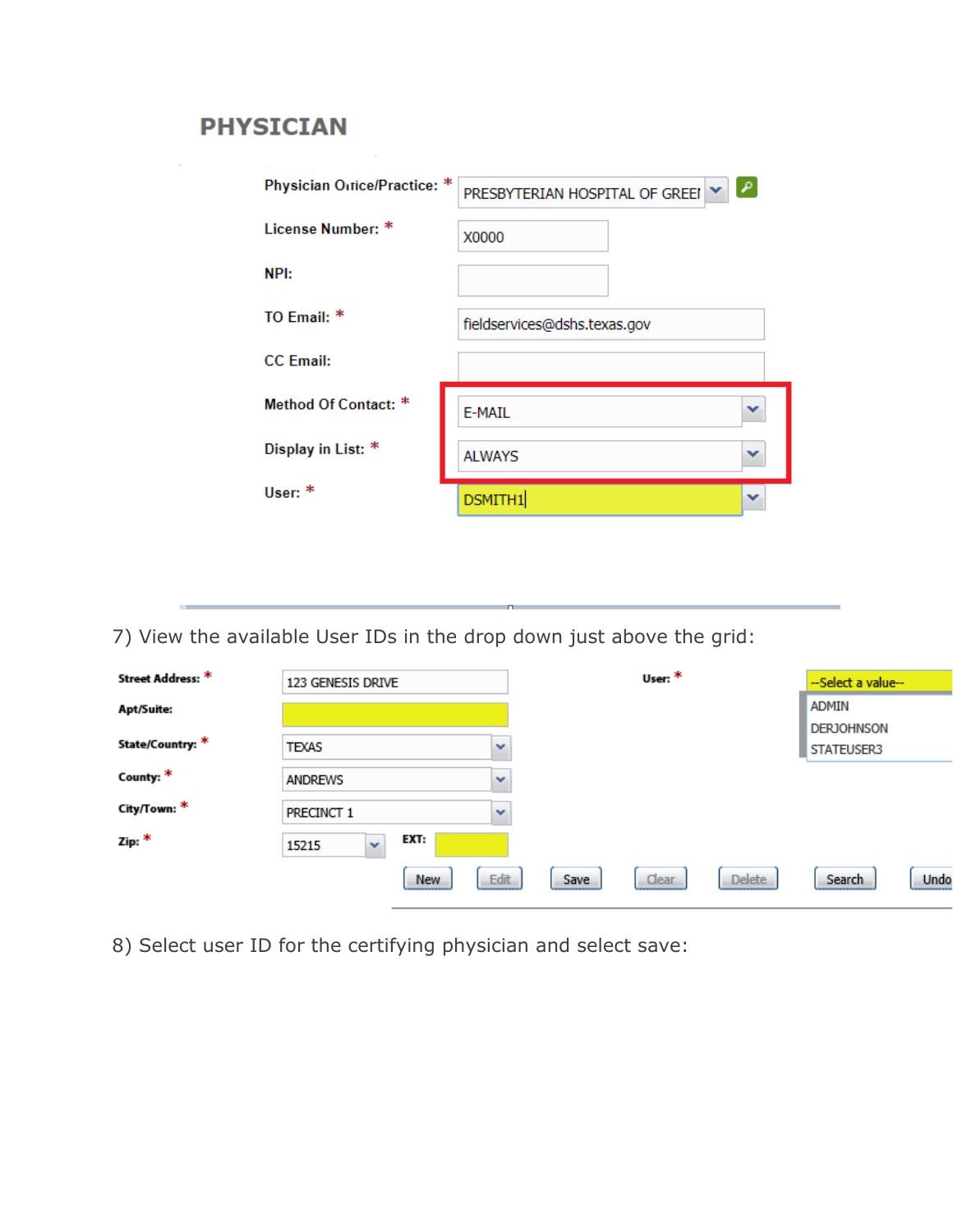## **PHYSICIAN**

| Physician Ortice/Practice: * | PRESBYTERIAN HOSPITAL OF GREEI |  |
|------------------------------|--------------------------------|--|
| License Number: *            | X0000                          |  |
| NPI:                         |                                |  |
| TO Fmail: $*$                | fieldservices@dshs.texas.gov   |  |
| <b>CC</b> Email:             |                                |  |
| Method Of Contact: *         | E-MAIL                         |  |
| Display in List: *           | v<br><b>ALWAYS</b>             |  |
| User: $*$                    | DSMITH1                        |  |

7) View the available User IDs in the drop down just above the grid:

<u> Liberatura de la contrada de la contrada de la contrada de la contrada de la contrada de la contrada de la c</u>

| Street Address: * | 123 GENESIS DRIVE             |              |      | User: * |               | --Select a value--              |      |
|-------------------|-------------------------------|--------------|------|---------|---------------|---------------------------------|------|
| Apt/Suite:        |                               |              |      |         |               | ADMIN                           |      |
| State/Country: *  | TEXAS                         | v            |      |         |               | <b>DERJOHNSON</b><br>STATEUSER3 |      |
| County: *         | <b>ANDREWS</b>                | $\checkmark$ |      |         |               |                                 |      |
| City/Town: *      | PRECINCT 1                    | v            |      |         |               |                                 |      |
| Zip: *            | EXT:<br>$\checkmark$<br>15215 |              |      |         |               |                                 |      |
|                   |                               | Edit<br>New  | Save | Clear   | <b>Delete</b> | Search                          | Undo |

8) Select user ID for the certifying physician and select save: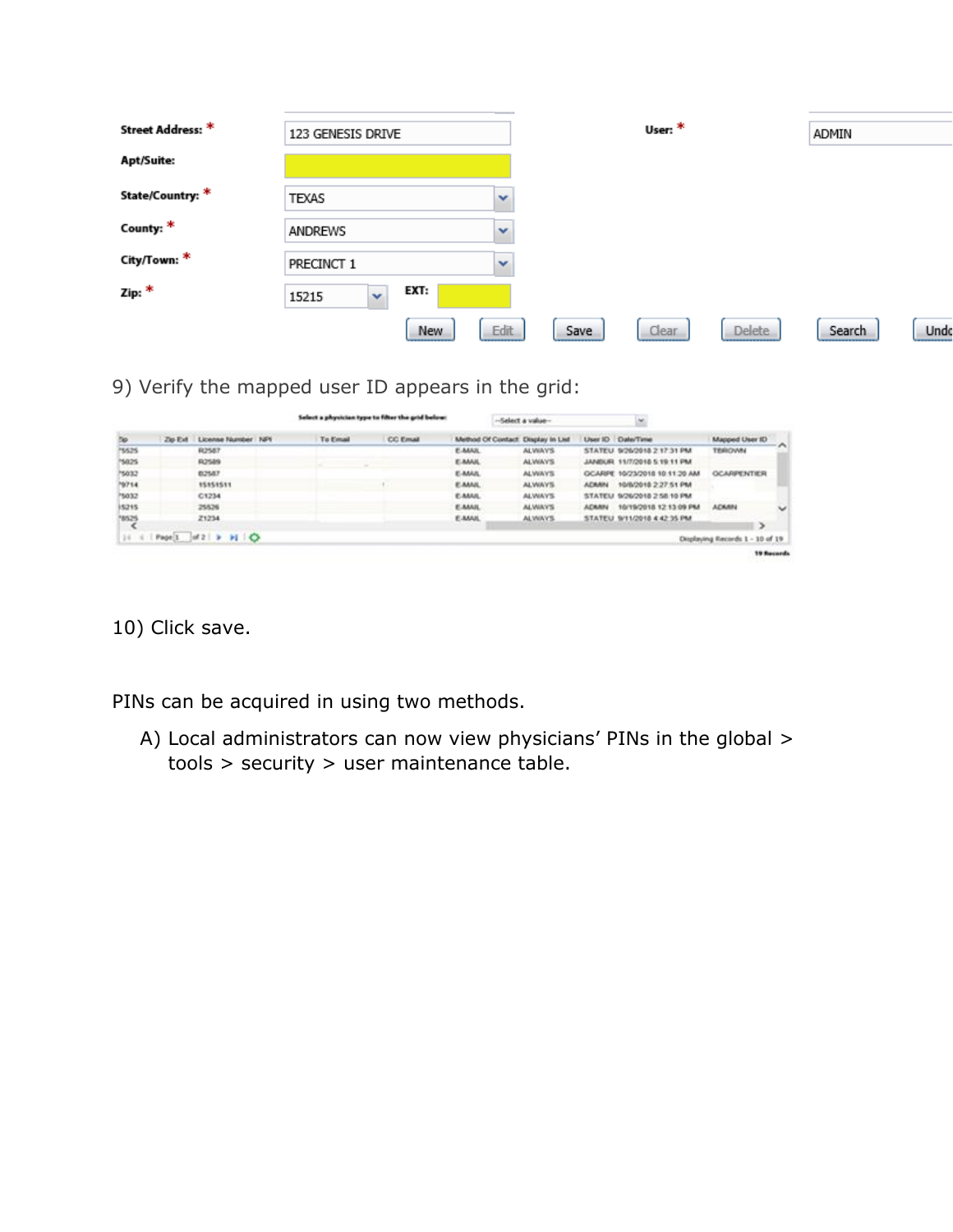| Street Address: * |                      |      |              |      | User: * |               |        |      |
|-------------------|----------------------|------|--------------|------|---------|---------------|--------|------|
|                   | 123 GENESIS DRIVE    |      |              |      |         |               | ADMIN  |      |
| Apt/Suite:        |                      |      |              |      |         |               |        |      |
| State/Country: *  | TEXAS                |      | $\checkmark$ |      |         |               |        |      |
| County: *         | ANDREWS              |      | $\checkmark$ |      |         |               |        |      |
| City/Town: *      | PRECINCT 1           |      | $\checkmark$ |      |         |               |        |      |
| Zip: *            | $\ddotmark$<br>15215 | EXT: |              |      |         |               |        |      |
|                   |                      | New  | Edit         | Save | Clear   | <b>Delete</b> | Search | Undo |

9) Verify the mapped user ID appears in the grid:

|            |         |                     | Select a physician type to filter the grid below: |                 |                                    | Select a value- |              | $\omega$                       |                                 |                          |
|------------|---------|---------------------|---------------------------------------------------|-----------------|------------------------------------|-----------------|--------------|--------------------------------|---------------------------------|--------------------------|
| <b>Tip</b> | Zip Ext | License Number NF1  | To Email                                          | <b>CC Email</b> | Method Of Contact: Display In List |                 |              | User ID Date/Time              | Mapped User ID                  |                          |
| 15525      |         | <b>R2587</b>        |                                                   |                 | E-MAIL                             | <b>ALWAYS</b>   |              | STATEU 9/26/2018 2:17:31 PM    | <b>TERIOVAN</b>                 | <b>TAL</b>               |
| 15025      |         | R2589               |                                                   |                 | <b>E-MAIL</b>                      | <b>ALWAYS</b>   |              | JANEILIR 11/7/2018 5:19:11 PM  |                                 |                          |
| 15032      |         | 02587               |                                                   |                 | E-MAIL                             | <b>ALWAYS</b>   |              | GCARIE: 16/23/2018 10:11:20 AM | <b>GCARPENTIER</b>              |                          |
| 19714      |         | 15151511            |                                                   |                 | <b>E-MAIL</b>                      | <b>ALWAYS</b>   | <b>ADMAN</b> | 10/8/2018 2:27:51 PM           |                                 |                          |
| 5032       |         | C1234               |                                                   |                 | <b>E-MAIL</b>                      | <b>ALWAYS</b>   |              | STATEU 9/26/2018 2:58 10 PM    |                                 |                          |
| 15215      |         | 25526               |                                                   |                 | <b>E-MAIL</b>                      | <b>ALWAYS</b>   | <b>ACKAN</b> | 10/19/2018 12:13:09 PM         | <b>ACKAN</b>                    | $\overline{\phantom{a}}$ |
| 18525      |         | 21234               |                                                   |                 | E-MAIL                             | <b>ALWAYS</b>   |              | STATEU S/11/2018 4:42:35 PM    |                                 |                          |
| $14 - 4$   |         | Page 1 of 2 > > 1 O |                                                   |                 |                                    |                 |              |                                | Displaying Records 1 - 10 of 19 |                          |
|            |         |                     |                                                   |                 |                                    |                 |              |                                |                                 | <b>19 Records</b>        |

10) Click save.

PINs can be acquired in using two methods.

A) Local administrators can now view physicians' PINs in the global > tools > security > user maintenance table.